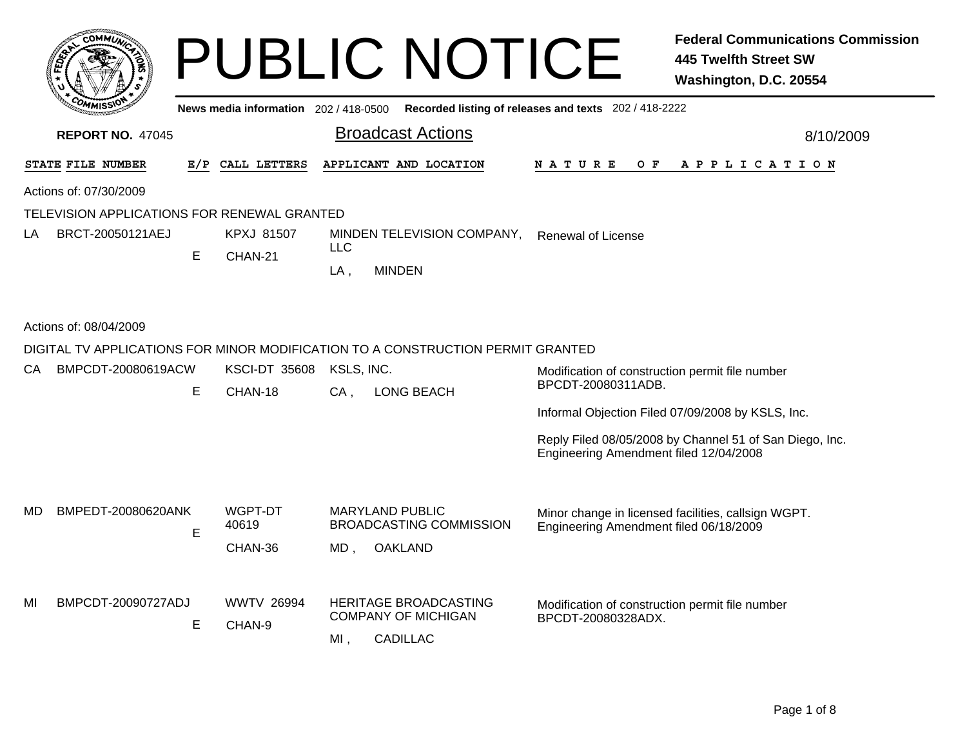|    |                                             |   |                                       |                      | <b>PUBLIC NOTICE</b>                                                            |                                                                       | <b>Federal Communications Commission</b><br>445 Twelfth Street SW<br>Washington, D.C. 20554 |  |  |
|----|---------------------------------------------|---|---------------------------------------|----------------------|---------------------------------------------------------------------------------|-----------------------------------------------------------------------|---------------------------------------------------------------------------------------------|--|--|
|    |                                             |   | News media information 202 / 418-0500 |                      |                                                                                 | Recorded listing of releases and texts 202 / 418-2222                 |                                                                                             |  |  |
|    | <b>REPORT NO. 47045</b>                     |   |                                       |                      | <b>Broadcast Actions</b>                                                        | 8/10/2009                                                             |                                                                                             |  |  |
|    | STATE FILE NUMBER                           |   | E/P CALL LETTERS                      |                      | APPLICANT AND LOCATION                                                          | N A T U R E<br>O F                                                    | A P P L I C A T I O N                                                                       |  |  |
|    | Actions of: 07/30/2009                      |   |                                       |                      |                                                                                 |                                                                       |                                                                                             |  |  |
|    | TELEVISION APPLICATIONS FOR RENEWAL GRANTED |   |                                       |                      |                                                                                 |                                                                       |                                                                                             |  |  |
| LA | BRCT-20050121AEJ                            | E | <b>KPXJ 81507</b>                     | LLC.                 | MINDEN TELEVISION COMPANY,                                                      | <b>Renewal of License</b>                                             |                                                                                             |  |  |
|    |                                             |   | CHAN-21                               | $LA$ ,               | <b>MINDEN</b>                                                                   |                                                                       |                                                                                             |  |  |
|    | Actions of: 08/04/2009                      |   |                                       |                      |                                                                                 |                                                                       |                                                                                             |  |  |
|    |                                             |   |                                       |                      | DIGITAL TV APPLICATIONS FOR MINOR MODIFICATION TO A CONSTRUCTION PERMIT GRANTED |                                                                       |                                                                                             |  |  |
| CA | BMPCDT-20080619ACW                          | Е | <b>KSCI-DT 35608</b><br>CHAN-18       | KSLS, INC.<br>$CA$ . | <b>LONG BEACH</b>                                                               | Modification of construction permit file number<br>BPCDT-20080311ADB. |                                                                                             |  |  |
|    |                                             |   |                                       |                      |                                                                                 | Informal Objection Filed 07/09/2008 by KSLS, Inc.                     |                                                                                             |  |  |
|    |                                             |   |                                       |                      |                                                                                 | Engineering Amendment filed 12/04/2008                                | Reply Filed 08/05/2008 by Channel 51 of San Diego, Inc.                                     |  |  |
| MD | BMPEDT-20080620ANK                          | E | WGPT-DT<br>40619<br>CHAN-36           | MD,                  | <b>MARYLAND PUBLIC</b><br><b>BROADCASTING COMMISSION</b><br>OAKLAND             | Engineering Amendment filed 06/18/2009                                | Minor change in licensed facilities, callsign WGPT.                                         |  |  |
| MI | BMPCDT-20090727ADJ                          | Е | <b>WWTV 26994</b><br>CHAN-9           | MI,                  | <b>HERITAGE BROADCASTING</b><br><b>COMPANY OF MICHIGAN</b><br><b>CADILLAC</b>   | Modification of construction permit file number<br>BPCDT-20080328ADX. |                                                                                             |  |  |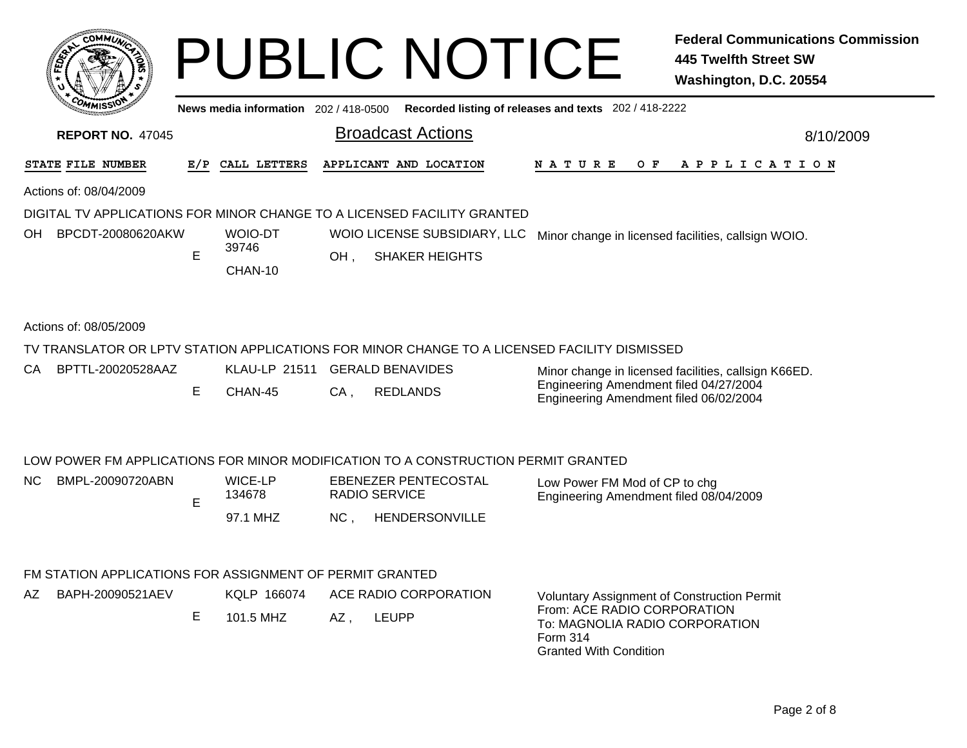|    | <b>COMMUNI</b>          |     |                                       |     | <b>PUBLIC NOTICE</b>                                                                         |               |  |     |                                                      |  | 445 Twelfth Street SW<br>Washington, D.C. 20554 | <b>Federal Communications Commission</b> |  |
|----|-------------------------|-----|---------------------------------------|-----|----------------------------------------------------------------------------------------------|---------------|--|-----|------------------------------------------------------|--|-------------------------------------------------|------------------------------------------|--|
|    |                         |     | News media information 202 / 418-0500 |     | Recorded listing of releases and texts 202 / 418-2222                                        |               |  |     |                                                      |  |                                                 |                                          |  |
|    | <b>REPORT NO. 47045</b> |     |                                       |     | <b>Broadcast Actions</b>                                                                     |               |  |     |                                                      |  |                                                 | 8/10/2009                                |  |
|    | STATE FILE NUMBER       | E/P | CALL LETTERS                          |     | APPLICANT AND LOCATION                                                                       | <b>NATURE</b> |  | O F |                                                      |  | A P P L I C A T I O N                           |                                          |  |
|    | Actions of: 08/04/2009  |     |                                       |     |                                                                                              |               |  |     |                                                      |  |                                                 |                                          |  |
|    |                         |     |                                       |     | DIGITAL TV APPLICATIONS FOR MINOR CHANGE TO A LICENSED FACILITY GRANTED                      |               |  |     |                                                      |  |                                                 |                                          |  |
| OH | BPCDT-20080620AKW       |     | <b>WOIO-DT</b>                        |     | WOIO LICENSE SUBSIDIARY, LLC                                                                 |               |  |     | Minor change in licensed facilities, callsign WOIO.  |  |                                                 |                                          |  |
|    |                         | E   | 39746                                 | OH. | <b>SHAKER HEIGHTS</b>                                                                        |               |  |     |                                                      |  |                                                 |                                          |  |
|    |                         |     | CHAN-10                               |     |                                                                                              |               |  |     |                                                      |  |                                                 |                                          |  |
|    | Actions of: 08/05/2009  |     |                                       |     |                                                                                              |               |  |     |                                                      |  |                                                 |                                          |  |
|    |                         |     |                                       |     | TV TRANSLATOR OR LPTV STATION APPLICATIONS FOR MINOR CHANGE TO A LICENSED FACILITY DISMISSED |               |  |     |                                                      |  |                                                 |                                          |  |
|    | CA BPTTL-20020528AAZ    |     | KLAU-LP 21511 GERALD BENAVIDES        |     |                                                                                              |               |  |     | Minor change in licensed facilities, callsign K66ED. |  |                                                 |                                          |  |

Engineering Amendment filed 04/27/2004 Engineering Amendment filed 06/02/2004

Granted With Condition

CA , REDLANDS

## LOW POWER FM APPLICATIONS FOR MINOR MODIFICATION TO A CONSTRUCTION PERMIT GRANTED

| NC . | BMPL-20090720ABN | <b>WICE-LP</b><br>134678 | EBENEZER PENTECOSTAL<br>RADIO SERVICE | Low Power FM Mod of CP to chg<br>Engineering Amendment filed 08/04/2009 |
|------|------------------|--------------------------|---------------------------------------|-------------------------------------------------------------------------|
|      |                  | MHZ<br>97.1              | NС<br><b>HENDERSONVILLE</b>           |                                                                         |

## FM STATION APPLICATIONS FOR ASSIGNMENT OF PERMIT GRANTED

E

CHAN-45

| AZ. | BAPH-20090521AEV | KQLP 166074<br>ACE RADIO CORPORATION |     |       | <b>Voluntary Assignment of Construction Permit</b>                        |
|-----|------------------|--------------------------------------|-----|-------|---------------------------------------------------------------------------|
|     |                  | 101.5 MHZ                            | AZ. | LEUPP | From: ACE RADIO CORPORATION<br>To: MAGNOLIA RADIO CORPORATION<br>Form 314 |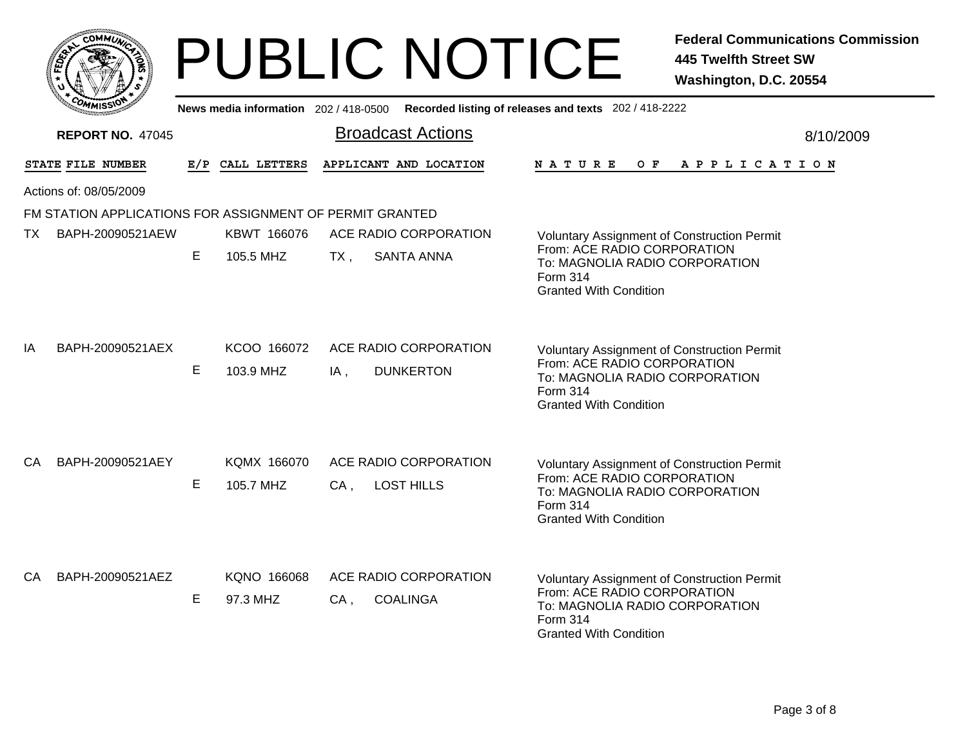|     |                                                          |                |                          | <b>PUBLIC NOTICE</b>                                                                        |                                                                                                                                                                  | <b>Federal Communications Commission</b><br><b>445 Twelfth Street SW</b><br>Washington, D.C. 20554 |  |  |
|-----|----------------------------------------------------------|----------------|--------------------------|---------------------------------------------------------------------------------------------|------------------------------------------------------------------------------------------------------------------------------------------------------------------|----------------------------------------------------------------------------------------------------|--|--|
|     |                                                          |                |                          | News media information 202 / 418-0500 Recorded listing of releases and texts 202 / 418-2222 |                                                                                                                                                                  |                                                                                                    |  |  |
|     | <b>REPORT NO. 47045</b>                                  |                |                          | <b>Broadcast Actions</b>                                                                    |                                                                                                                                                                  | 8/10/2009                                                                                          |  |  |
|     | STATE FILE NUMBER                                        |                | E/P CALL LETTERS         | APPLICANT AND LOCATION                                                                      | N A T U R E<br>O F                                                                                                                                               | A P P L I C A T I O N                                                                              |  |  |
|     | Actions of: 08/05/2009                                   |                |                          |                                                                                             |                                                                                                                                                                  |                                                                                                    |  |  |
|     | FM STATION APPLICATIONS FOR ASSIGNMENT OF PERMIT GRANTED |                |                          |                                                                                             |                                                                                                                                                                  |                                                                                                    |  |  |
| TX. | BAPH-20090521AEW                                         |                | KBWT 166076              | ACE RADIO CORPORATION                                                                       | <b>Voluntary Assignment of Construction Permit</b>                                                                                                               |                                                                                                    |  |  |
|     |                                                          | E<br>105.5 MHZ |                          | <b>SANTA ANNA</b><br>$TX$ ,                                                                 | From: ACE RADIO CORPORATION<br>To: MAGNOLIA RADIO CORPORATION<br>Form 314<br><b>Granted With Condition</b>                                                       |                                                                                                    |  |  |
| IA  | BAPH-20090521AEX                                         | Е              | KCOO 166072<br>103.9 MHZ | ACE RADIO CORPORATION<br>$IA$ ,<br><b>DUNKERTON</b>                                         | <b>Voluntary Assignment of Construction Permit</b><br>From: ACE RADIO CORPORATION<br>To: MAGNOLIA RADIO CORPORATION<br>Form 314<br><b>Granted With Condition</b> |                                                                                                    |  |  |
| СA  | BAPH-20090521AEY                                         | E              | KQMX 166070<br>105.7 MHZ | ACE RADIO CORPORATION<br><b>LOST HILLS</b><br>$CA$ ,                                        | <b>Voluntary Assignment of Construction Permit</b><br>From: ACE RADIO CORPORATION<br>To: MAGNOLIA RADIO CORPORATION<br>Form 314<br><b>Granted With Condition</b> |                                                                                                    |  |  |
| CA. | BAPH-20090521AEZ                                         | E              | KQNO 166068<br>97.3 MHZ  | ACE RADIO CORPORATION<br><b>COALINGA</b><br>CA,                                             | Voluntary Assignment of Construction Permit<br>From: ACE RADIO CORPORATION<br>To: MAGNOLIA RADIO CORPORATION<br>Form 314<br><b>Granted With Condition</b>        |                                                                                                    |  |  |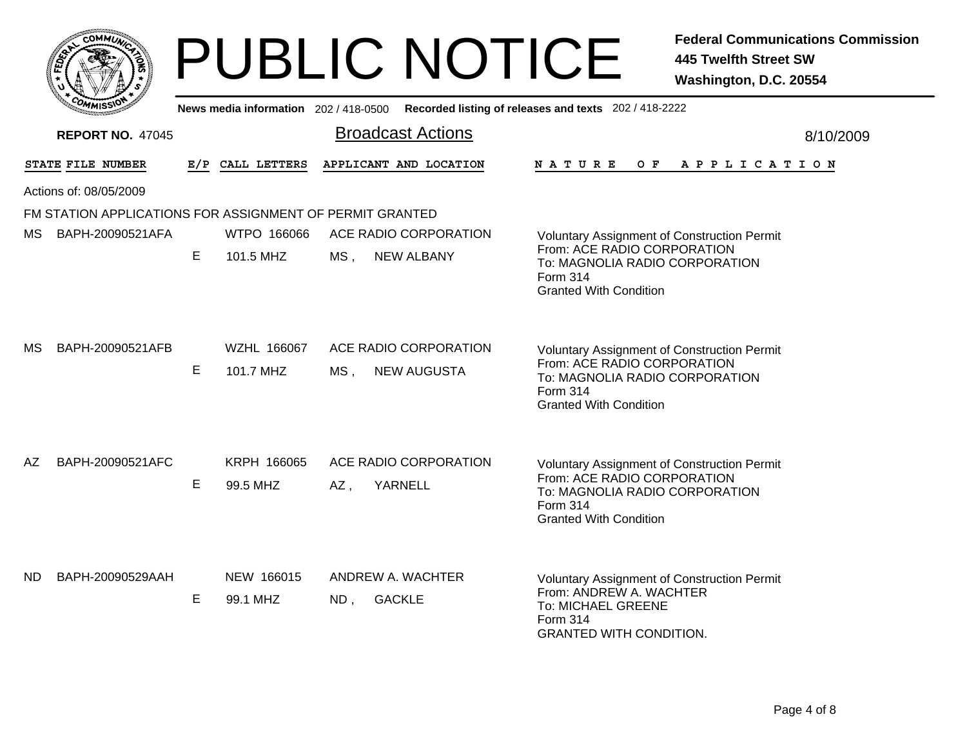|     |                                                          |                 |                                     | <b>PUBLIC NOTICE</b>                               |  |                                                                                                                                                                  | <b>Federal Communications Commission</b><br><b>445 Twelfth Street SW</b><br>Washington, D.C. 20554 |
|-----|----------------------------------------------------------|-----------------|-------------------------------------|----------------------------------------------------|--|------------------------------------------------------------------------------------------------------------------------------------------------------------------|----------------------------------------------------------------------------------------------------|
|     |                                                          |                 | News media information 202/418-0500 |                                                    |  | Recorded listing of releases and texts 202 / 418-2222                                                                                                            |                                                                                                    |
|     | <b>REPORT NO. 47045</b>                                  |                 |                                     | <b>Broadcast Actions</b>                           |  |                                                                                                                                                                  | 8/10/2009                                                                                          |
|     | STATE FILE NUMBER                                        |                 | E/P CALL LETTERS                    | APPLICANT AND LOCATION                             |  | N A T U R E<br>O F                                                                                                                                               | A P P L I C A T I O N                                                                              |
|     | Actions of: 08/05/2009                                   |                 |                                     |                                                    |  |                                                                                                                                                                  |                                                                                                    |
|     | FM STATION APPLICATIONS FOR ASSIGNMENT OF PERMIT GRANTED |                 |                                     |                                                    |  |                                                                                                                                                                  |                                                                                                    |
| MS. | BAPH-20090521AFA                                         |                 | WTPO 166066                         | ACE RADIO CORPORATION                              |  | <b>Voluntary Assignment of Construction Permit</b>                                                                                                               |                                                                                                    |
|     |                                                          | E.<br>101.5 MHZ |                                     | MS,<br><b>NEW ALBANY</b>                           |  | From: ACE RADIO CORPORATION<br>To: MAGNOLIA RADIO CORPORATION<br>Form 314<br><b>Granted With Condition</b>                                                       |                                                                                                    |
| MS. | BAPH-20090521AFB                                         | E               | WZHL 166067<br>101.7 MHZ            | ACE RADIO CORPORATION<br>MS,<br><b>NEW AUGUSTA</b> |  | <b>Voluntary Assignment of Construction Permit</b><br>From: ACE RADIO CORPORATION<br>To: MAGNOLIA RADIO CORPORATION<br>Form 314<br><b>Granted With Condition</b> |                                                                                                    |
| AZ  | BAPH-20090521AFC                                         | E               | KRPH 166065<br>99.5 MHZ             | ACE RADIO CORPORATION<br>AZ,<br>YARNELL            |  | <b>Voluntary Assignment of Construction Permit</b><br>From: ACE RADIO CORPORATION<br>To: MAGNOLIA RADIO CORPORATION<br>Form 314<br><b>Granted With Condition</b> |                                                                                                    |
| ND. | BAPH-20090529AAH                                         | Е               | NEW 166015<br>99.1 MHZ              | ANDREW A. WACHTER<br><b>GACKLE</b><br>ND,          |  | Voluntary Assignment of Construction Permit<br>From: ANDREW A. WACHTER<br>To: MICHAEL GREENE<br><b>Form 314</b><br><b>GRANTED WITH CONDITION.</b>                |                                                                                                    |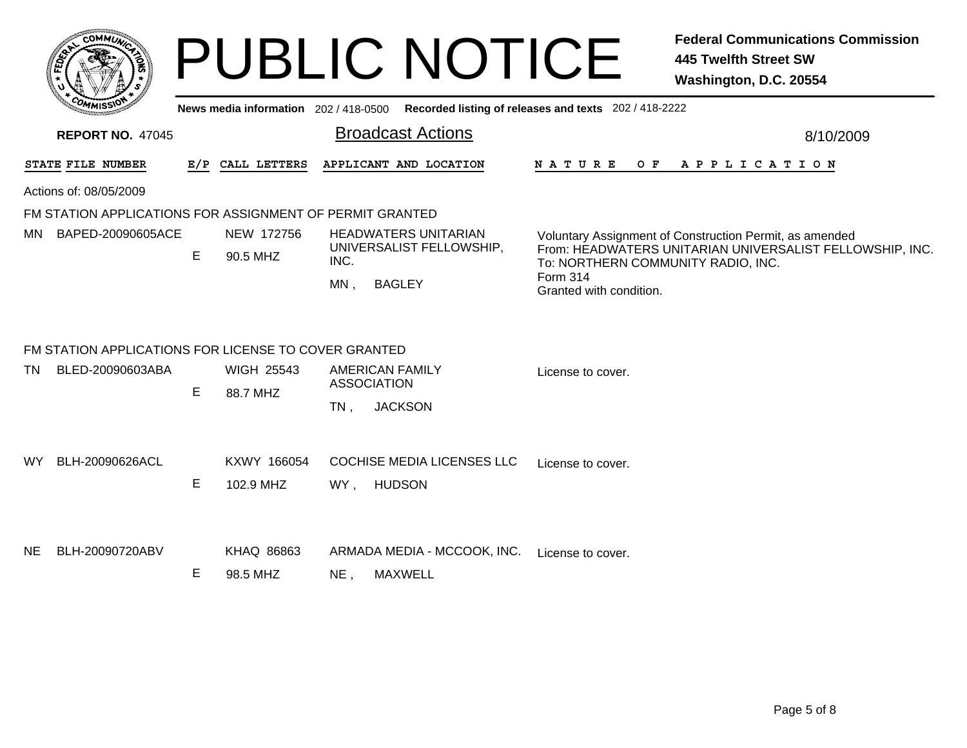|     | <b>COMMUX</b>                                                                      |   |                               |                                                                                            | <b>PUBLIC NOTICE</b>                                                                        |                                     | <b>Federal Communications Commission</b><br><b>445 Twelfth Street SW</b><br>Washington, D.C. 20554                                                        |
|-----|------------------------------------------------------------------------------------|---|-------------------------------|--------------------------------------------------------------------------------------------|---------------------------------------------------------------------------------------------|-------------------------------------|-----------------------------------------------------------------------------------------------------------------------------------------------------------|
|     |                                                                                    |   |                               |                                                                                            | News media information 202 / 418-0500 Recorded listing of releases and texts 202 / 418-2222 |                                     |                                                                                                                                                           |
|     | <b>REPORT NO. 47045</b>                                                            |   |                               | <b>Broadcast Actions</b>                                                                   |                                                                                             | 8/10/2009                           |                                                                                                                                                           |
|     | STATE FILE NUMBER                                                                  |   | E/P CALL LETTERS              | APPLICANT AND LOCATION                                                                     |                                                                                             | <b>NATURE</b><br>O F                | APPLICATION                                                                                                                                               |
|     | Actions of: 08/05/2009<br>FM STATION APPLICATIONS FOR ASSIGNMENT OF PERMIT GRANTED |   |                               |                                                                                            |                                                                                             |                                     |                                                                                                                                                           |
| MN. | BAPED-20090605ACE                                                                  | E | NEW 172756<br>90.5 MHZ        | <b>HEADWATERS UNITARIAN</b><br>UNIVERSALIST FELLOWSHIP,<br>INC.<br><b>BAGLEY</b><br>$MN$ . |                                                                                             | Form 314<br>Granted with condition. | Voluntary Assignment of Construction Permit, as amended<br>From: HEADWATERS UNITARIAN UNIVERSALIST FELLOWSHIP, INC.<br>To: NORTHERN COMMUNITY RADIO, INC. |
|     | FM STATION APPLICATIONS FOR LICENSE TO COVER GRANTED                               |   |                               |                                                                                            |                                                                                             |                                     |                                                                                                                                                           |
| TN. | BLED-20090603ABA                                                                   | E | <b>WIGH 25543</b><br>88.7 MHZ | <b>AMERICAN FAMILY</b><br><b>ASSOCIATION</b><br><b>JACKSON</b><br>$TN$ .                   |                                                                                             | License to cover.                   |                                                                                                                                                           |
| WY. | BLH-20090626ACL                                                                    | E | KXWY 166054<br>102.9 MHZ      | <b>HUDSON</b><br>WY ,                                                                      | <b>COCHISE MEDIA LICENSES LLC</b>                                                           | License to cover.                   |                                                                                                                                                           |
| NE. | BLH-20090720ABV                                                                    | Е | KHAQ 86863<br>98.5 MHZ        | <b>MAXWELL</b><br>NE,                                                                      | ARMADA MEDIA - MCCOOK, INC.                                                                 | License to cover.                   |                                                                                                                                                           |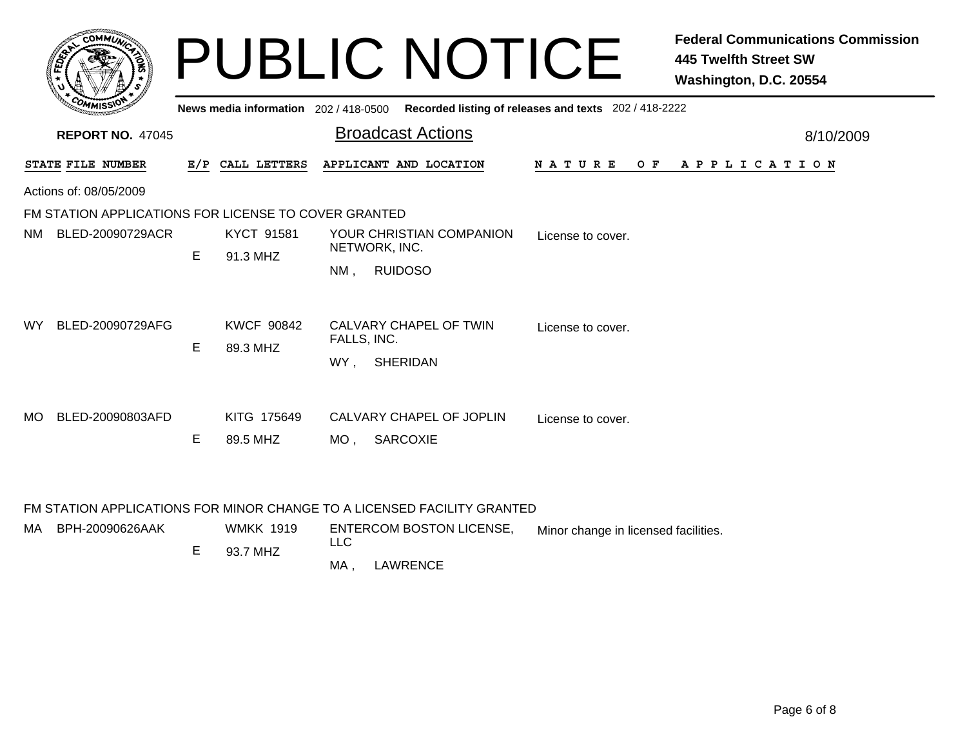|           | COMMUN,                                              |    |                                       | <b>PUBLIC NOTICE</b>                                                    |                    | <b>Federal Communications Commission</b><br><b>445 Twelfth Street SW</b><br>Washington, D.C. 20554 |
|-----------|------------------------------------------------------|----|---------------------------------------|-------------------------------------------------------------------------|--------------------|----------------------------------------------------------------------------------------------------|
|           |                                                      |    | News media information 202 / 418-0500 | Recorded listing of releases and texts 202 / 418-2222                   |                    |                                                                                                    |
|           | <b>REPORT NO. 47045</b>                              |    |                                       | <b>Broadcast Actions</b>                                                |                    | 8/10/2009                                                                                          |
|           | STATE FILE NUMBER                                    |    | E/P CALL LETTERS                      | APPLICANT AND LOCATION                                                  | N A T U R E<br>O F | A P P L I C A T I O N                                                                              |
|           | Actions of: 08/05/2009                               |    |                                       |                                                                         |                    |                                                                                                    |
|           | FM STATION APPLICATIONS FOR LICENSE TO COVER GRANTED |    |                                       |                                                                         |                    |                                                                                                    |
| NM.       | BLED-20090729ACR                                     | E  | KYCT 91581<br>91.3 MHZ                | YOUR CHRISTIAN COMPANION<br>NETWORK, INC.<br><b>RUIDOSO</b><br>NM.      | License to cover.  |                                                                                                    |
| WY.       | BLED-20090729AFG                                     | E. | <b>KWCF 90842</b><br>89.3 MHZ         | CALVARY CHAPEL OF TWIN<br>FALLS, INC.<br><b>SHERIDAN</b><br>WY.         | License to cover.  |                                                                                                    |
| <b>MO</b> | BLED-20090803AFD                                     | E  | KITG 175649<br>89.5 MHZ               | CALVARY CHAPEL OF JOPLIN<br><b>SARCOXIE</b><br>MO.                      | License to cover.  |                                                                                                    |
|           |                                                      |    |                                       | FM STATION APPLICATIONS FOR MINOR CHANGE TO A LICENSED FACILITY GRANTED |                    |                                                                                                    |

| MA BPH-20090626AAK | <b>WMKK 1919</b> | LLC | <b>ENTERCOM BOSTON LICENSE.</b> | Minor change in licensed facilities. |
|--------------------|------------------|-----|---------------------------------|--------------------------------------|
|                    | 93.7 MHZ         |     |                                 |                                      |
|                    |                  | MA  | LAWRENCE                        |                                      |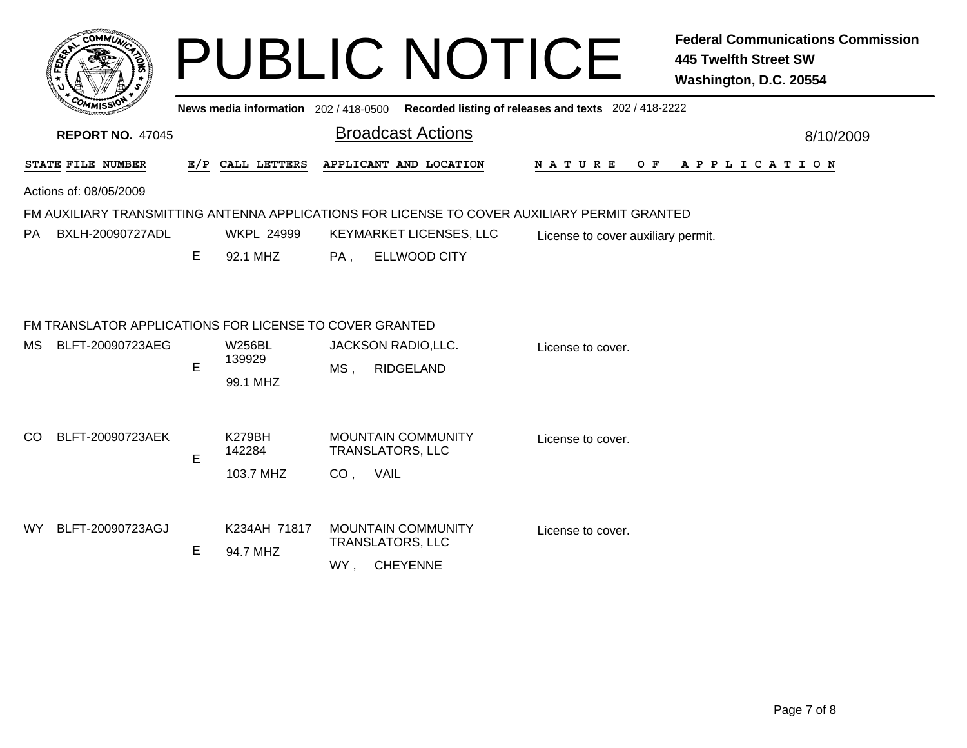|                                                                                                                    |        |                                                                | <b>PUBLIC NOTICE</b>                                                                                   |                                                                                              | <b>Federal Communications Commission</b><br><b>445 Twelfth Street SW</b><br>Washington, D.C. 20554 |
|--------------------------------------------------------------------------------------------------------------------|--------|----------------------------------------------------------------|--------------------------------------------------------------------------------------------------------|----------------------------------------------------------------------------------------------|----------------------------------------------------------------------------------------------------|
|                                                                                                                    |        |                                                                |                                                                                                        | News media information 202 / 418-0500 Recorded listing of releases and texts 202 / 418-2222  |                                                                                                    |
| <b>REPORT NO. 47045</b>                                                                                            |        |                                                                | <b>Broadcast Actions</b>                                                                               |                                                                                              | 8/10/2009                                                                                          |
| STATE FILE NUMBER                                                                                                  |        | E/P CALL LETTERS                                               | APPLICANT AND LOCATION                                                                                 | N A T U R E                                                                                  | OF APPLICATION                                                                                     |
| Actions of: 08/05/2009                                                                                             |        |                                                                |                                                                                                        |                                                                                              |                                                                                                    |
|                                                                                                                    |        |                                                                |                                                                                                        | FM AUXILIARY TRANSMITTING ANTENNA APPLICATIONS FOR LICENSE TO COVER AUXILIARY PERMIT GRANTED |                                                                                                    |
| BXLH-20090727ADL<br>PA.                                                                                            |        | <b>WKPL 24999</b>                                              | KEYMARKET LICENSES, LLC                                                                                | License to cover auxiliary permit.                                                           |                                                                                                    |
|                                                                                                                    | E.     | 92.1 MHZ                                                       | <b>ELLWOOD CITY</b><br>PA,                                                                             |                                                                                              |                                                                                                    |
| FM TRANSLATOR APPLICATIONS FOR LICENSE TO COVER GRANTED<br><b>MS</b><br>BLFT-20090723AEG<br>BLFT-20090723AEK<br>CO | E<br>E | <b>W256BL</b><br>139929<br>99.1 MHZ<br><b>K279BH</b><br>142284 | JACKSON RADIO, LLC.<br>MS,<br><b>RIDGELAND</b><br><b>MOUNTAIN COMMUNITY</b><br><b>TRANSLATORS, LLC</b> | License to cover.<br>License to cover.                                                       |                                                                                                    |
| BLFT-20090723AGJ<br>WY.                                                                                            | E.     | 103.7 MHZ<br>K234AH 71817<br>94.7 MHZ                          | CO, VAIL<br><b>MOUNTAIN COMMUNITY</b><br><b>TRANSLATORS, LLC</b><br>WY,<br><b>CHEYENNE</b>             | License to cover.                                                                            |                                                                                                    |
|                                                                                                                    |        |                                                                |                                                                                                        |                                                                                              |                                                                                                    |